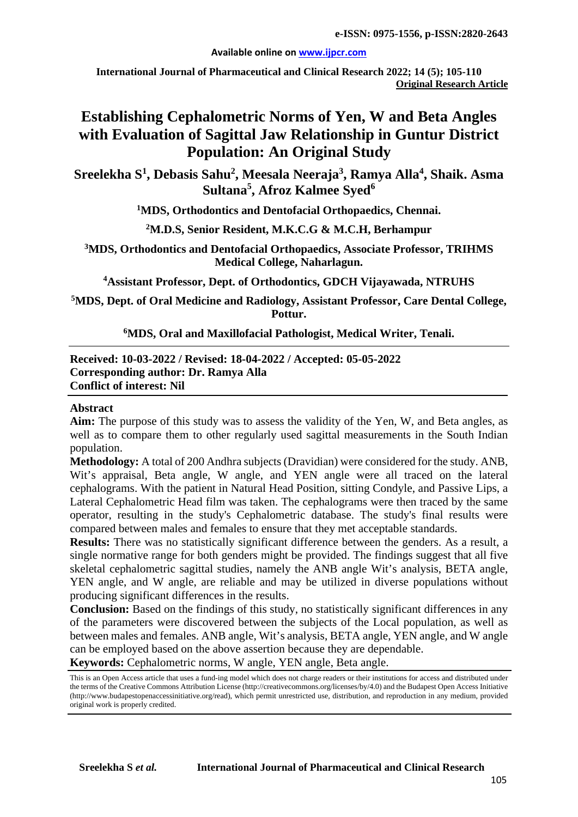#### **Available online on [www.ijpcr.com](http://www.ijpcr.com/)**

**International Journal of Pharmaceutical and Clinical Research 2022; 14 (5); 105-110 Original Research Article**

# **Establishing Cephalometric Norms of Yen, W and Beta Angles with Evaluation of Sagittal Jaw Relationship in Guntur District Population: An Original Study**

 $\mathbf{S}$ reelekha  $\mathbf{S}^1$ , Debasis Sahu<sup>2</sup>, Meesala Neeraja $^3$ , Ramya Alla $^4$ , Shaik. Asma **Sultana5 , Afroz Kalmee Syed<sup>6</sup>**

**1 MDS, Orthodontics and Dentofacial Orthopaedics, Chennai.**

#### **2 M.D.S, Senior Resident, M.K.C.G & M.C.H, Berhampur**

**3 MDS, Orthodontics and Dentofacial Orthopaedics, Associate Professor, TRIHMS Medical College, Naharlagun.**

**4 Assistant Professor, Dept. of Orthodontics, GDCH Vijayawada, NTRUHS**

**5 MDS, Dept. of Oral Medicine and Radiology, Assistant Professor, Care Dental College, Pottur.**

**6MDS, Oral and Maxillofacial Pathologist, Medical Writer, Tenali.**

#### **Received: 10-03-2022 / Revised: 18-04-2022 / Accepted: 05-05-2022 Corresponding author: Dr. Ramya Alla Conflict of interest: Nil**

#### **Abstract**

**Aim:** The purpose of this study was to assess the validity of the Yen, W, and Beta angles, as well as to compare them to other regularly used sagittal measurements in the South Indian population.

**Methodology:** A total of 200 Andhra subjects (Dravidian) were considered for the study. ANB, Wit's appraisal, Beta angle, W angle, and YEN angle were all traced on the lateral cephalograms. With the patient in Natural Head Position, sitting Condyle, and Passive Lips, a Lateral Cephalometric Head film was taken. The cephalograms were then traced by the same operator, resulting in the study's Cephalometric database. The study's final results were compared between males and females to ensure that they met acceptable standards.

**Results:** There was no statistically significant difference between the genders. As a result, a single normative range for both genders might be provided. The findings suggest that all five skeletal cephalometric sagittal studies, namely the ANB angle Wit's analysis, BETA angle, YEN angle, and W angle, are reliable and may be utilized in diverse populations without producing significant differences in the results.

**Conclusion:** Based on the findings of this study, no statistically significant differences in any of the parameters were discovered between the subjects of the Local population, as well as between males and females. ANB angle, Wit's analysis, BETA angle, YEN angle, and W angle can be employed based on the above assertion because they are dependable.

**Keywords:** Cephalometric norms, W angle, YEN angle, Beta angle.

This is an Open Access article that uses a fund-ing model which does not charge readers or their institutions for access and distributed under the terms of the Creative Commons Attribution License (http://creativecommons.org/licenses/by/4.0) and the Budapest Open Access Initiative (http://www.budapestopenaccessinitiative.org/read), which permit unrestricted use, distribution, and reproduction in any medium, provided original work is properly credited.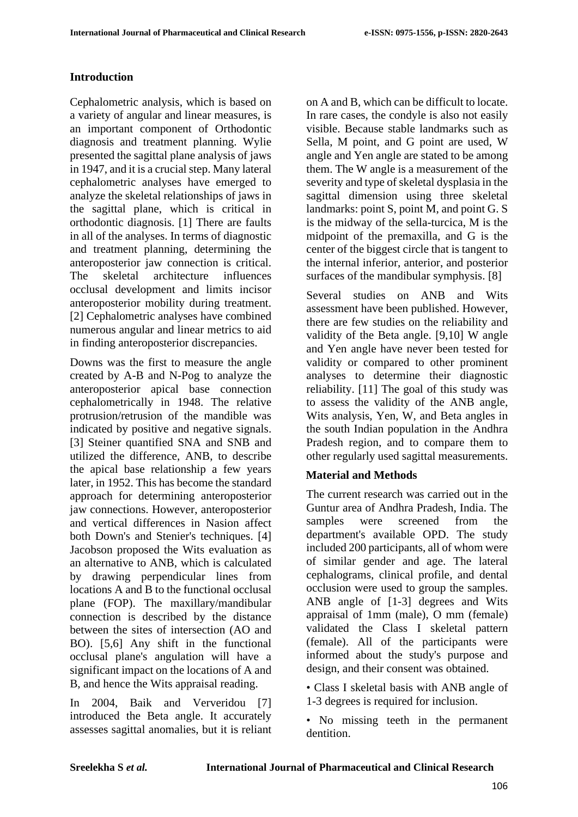## **Introduction**

Cephalometric analysis, which is based on a variety of angular and linear measures, is an important component of Orthodontic diagnosis and treatment planning. Wylie presented the sagittal plane analysis of jaws in 1947, and it is a crucial step. Many lateral cephalometric analyses have emerged to analyze the skeletal relationships of jaws in the sagittal plane, which is critical in orthodontic diagnosis. [1] There are faults in all of the analyses. In terms of diagnostic and treatment planning, determining the anteroposterior jaw connection is critical. The skeletal architecture influences occlusal development and limits incisor anteroposterior mobility during treatment. [2] Cephalometric analyses have combined numerous angular and linear metrics to aid in finding anteroposterior discrepancies.

Downs was the first to measure the angle created by A-B and N-Pog to analyze the anteroposterior apical base connection cephalometrically in 1948. The relative protrusion/retrusion of the mandible was indicated by positive and negative signals. [3] Steiner quantified SNA and SNB and utilized the difference, ANB, to describe the apical base relationship a few years later, in 1952. This has become the standard approach for determining anteroposterior jaw connections. However, anteroposterior and vertical differences in Nasion affect both Down's and Stenier's techniques. [4] Jacobson proposed the Wits evaluation as an alternative to ANB, which is calculated by drawing perpendicular lines from locations A and B to the functional occlusal plane (FOP). The maxillary/mandibular connection is described by the distance between the sites of intersection (AO and BO). [5,6] Any shift in the functional occlusal plane's angulation will have a significant impact on the locations of A and B, and hence the Wits appraisal reading.

In 2004, Baik and Ververidou [7] introduced the Beta angle. It accurately assesses sagittal anomalies, but it is reliant on A and B, which can be difficult to locate. In rare cases, the condyle is also not easily visible. Because stable landmarks such as Sella, M point, and G point are used, W angle and Yen angle are stated to be among them. The W angle is a measurement of the severity and type of skeletal dysplasia in the sagittal dimension using three skeletal landmarks: point S, point M, and point G. S is the midway of the sella-turcica, M is the midpoint of the premaxilla, and G is the center of the biggest circle that is tangent to the internal inferior, anterior, and posterior surfaces of the mandibular symphysis. [8]

Several studies on ANB and Wits assessment have been published. However, there are few studies on the reliability and validity of the Beta angle. [9,10] W angle and Yen angle have never been tested for validity or compared to other prominent analyses to determine their diagnostic reliability. [11] The goal of this study was to assess the validity of the ANB angle, Wits analysis, Yen, W, and Beta angles in the south Indian population in the Andhra Pradesh region, and to compare them to other regularly used sagittal measurements.

#### **Material and Methods**

The current research was carried out in the Guntur area of Andhra Pradesh, India. The samples were screened from the department's available OPD. The study included 200 participants, all of whom were of similar gender and age. The lateral cephalograms, clinical profile, and dental occlusion were used to group the samples. ANB angle of [1-3] degrees and Wits appraisal of 1mm (male), O mm (female) validated the Class I skeletal pattern (female). All of the participants were informed about the study's purpose and design, and their consent was obtained.

• Class I skeletal basis with ANB angle of 1-3 degrees is required for inclusion.

• No missing teeth in the permanent dentition.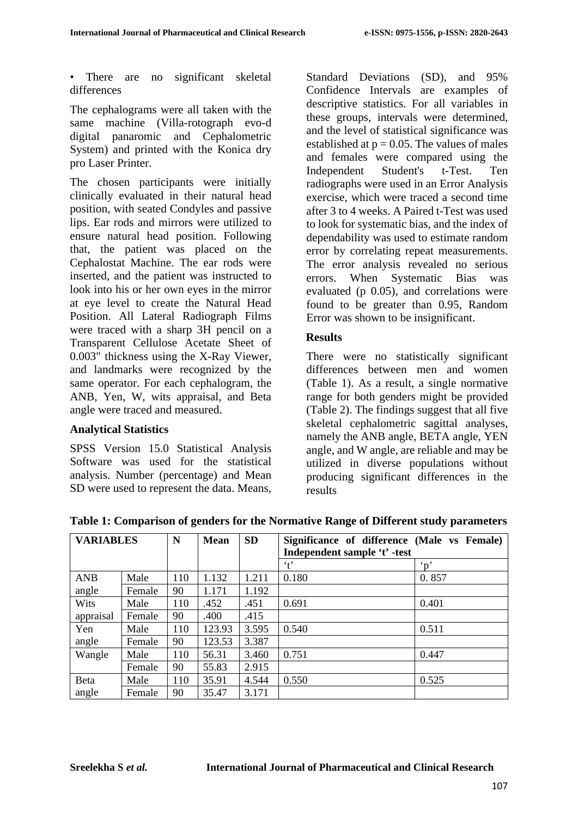There are no significant skeletal differences

The cephalograms were all taken with the same machine (Villa-rotograph evo-d digital panaromic and Cephalometric System) and printed with the Konica dry pro Laser Printer.

The chosen participants were initially clinically evaluated in their natural head position, with seated Condyles and passive lips. Ear rods and mirrors were utilized to ensure natural head position. Following that, the patient was placed on the Cephalostat Machine. The ear rods were inserted, and the patient was instructed to look into his or her own eyes in the mirror at eye level to create the Natural Head Position. All Lateral Radiograph Films were traced with a sharp 3H pencil on a Transparent Cellulose Acetate Sheet of 0.003" thickness using the X-Ray Viewer, and landmarks were recognized by the same operator. For each cephalogram, the ANB, Yen, W, wits appraisal, and Beta angle were traced and measured.

#### **Analytical Statistics**

SPSS Version 15.0 Statistical Analysis Software was used for the statistical analysis. Number (percentage) and Mean SD were used to represent the data. Means, Standard Deviations (SD), and 95% Confidence Intervals are examples of descriptive statistics. For all variables in these groups, intervals were determined, and the level of statistical significance was established at  $p = 0.05$ . The values of males and females were compared using the Independent Student's t-Test. Ten radiographs were used in an Error Analysis exercise, which were traced a second time after 3 to 4 weeks. A Paired t-Test was used to look for systematic bias, and the index of dependability was used to estimate random error by correlating repeat measurements. The error analysis revealed no serious errors. When Systematic Bias was evaluated (p 0.05), and correlations were found to be greater than 0.95, Random Error was shown to be insignificant.

## **Results**

There were no statistically significant differences between men and women (Table 1). As a result, a single normative range for both genders might be provided (Table 2). The findings suggest that all five skeletal cephalometric sagittal analyses, namely the ANB angle, BETA angle, YEN angle, and W angle, are reliable and may be utilized in diverse populations without producing significant differences in the results

| <b>VARIABLES</b> |        | N   | <b>Mean</b> | <b>SD</b> | Significance of difference (Male vs Female) |                       |  |
|------------------|--------|-----|-------------|-----------|---------------------------------------------|-----------------------|--|
|                  |        |     |             |           | Independent sample 't' -test                |                       |  |
|                  |        |     |             |           | $\cdot t$                                   | $\mathbf{v}^{\prime}$ |  |
| <b>ANB</b>       | Male   | 110 | 1.132       | 1.211     | 0.180                                       | 0.857                 |  |
| angle            | Female | 90  | 1.171       | 1.192     |                                             |                       |  |
| Wits             | Male   | 110 | .452        | .451      | 0.691                                       | 0.401                 |  |
| appraisal        | Female | 90  | .400        | .415      |                                             |                       |  |
| Yen              | Male   | 110 | 123.93      | 3.595     | 0.540                                       | 0.511                 |  |
| angle            | Female | 90  | 123.53      | 3.387     |                                             |                       |  |
| Wangle           | Male   | 110 | 56.31       | 3.460     | 0.751                                       | 0.447                 |  |
|                  | Female | 90  | 55.83       | 2.915     |                                             |                       |  |
| Beta             | Male   | 110 | 35.91       | 4.544     | 0.550                                       | 0.525                 |  |
| angle            | Female | 90  | 35.47       | 3.171     |                                             |                       |  |

**Table 1: Comparison of genders for the Normative Range of Different study parameters**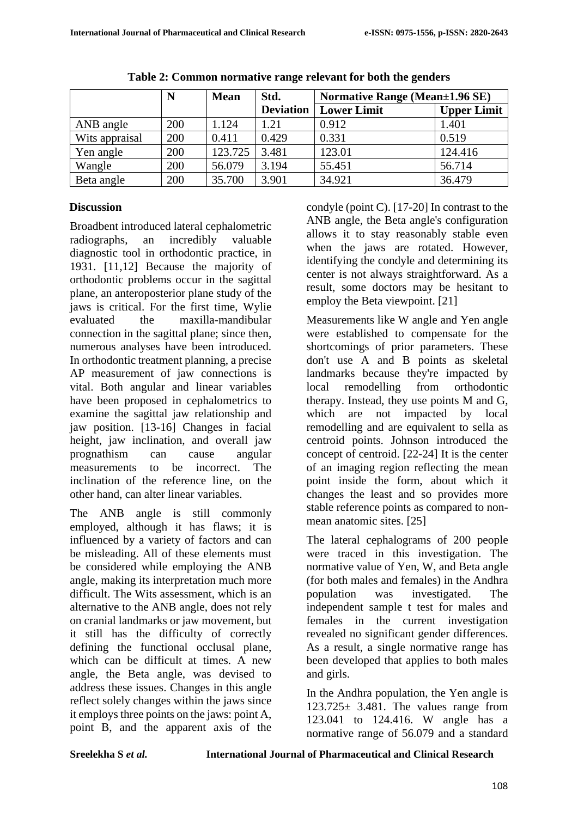|                | N   | <b>Mean</b> | Std.             | <b>Normative Range (Mean</b> ±1.96 SE) |                    |
|----------------|-----|-------------|------------------|----------------------------------------|--------------------|
|                |     |             | <b>Deviation</b> | <b>Lower Limit</b>                     | <b>Upper Limit</b> |
| ANB angle      | 200 | 1.124       | 1.21             | 0.912                                  | 1.401              |
| Wits appraisal | 200 | 0.411       | 0.429            | 0.331                                  | 0.519              |
| Yen angle      | 200 | 123.725     | 3.481            | 123.01                                 | 124.416            |
| Wangle         | 200 | 56.079      | 3.194            | 55.451                                 | 56.714             |
| Beta angle     | 200 | 35.700      | 3.901            | 34.921                                 | 36.479             |

**Table 2: Common normative range relevant for both the genders**

## **Discussion**

Broadbent introduced lateral cephalometric radiographs, an incredibly valuable diagnostic tool in orthodontic practice, in 1931. [11,12] Because the majority of orthodontic problems occur in the sagittal plane, an anteroposterior plane study of the jaws is critical. For the first time, Wylie evaluated the maxilla-mandibular connection in the sagittal plane; since then, numerous analyses have been introduced. In orthodontic treatment planning, a precise AP measurement of jaw connections is vital. Both angular and linear variables have been proposed in cephalometrics to examine the sagittal jaw relationship and jaw position. [13-16] Changes in facial height, jaw inclination, and overall jaw prognathism can cause angular measurements to be incorrect. The inclination of the reference line, on the other hand, can alter linear variables.

The ANB angle is still commonly employed, although it has flaws; it is influenced by a variety of factors and can be misleading. All of these elements must be considered while employing the ANB angle, making its interpretation much more difficult. The Wits assessment, which is an alternative to the ANB angle, does not rely on cranial landmarks or jaw movement, but it still has the difficulty of correctly defining the functional occlusal plane, which can be difficult at times. A new angle, the Beta angle, was devised to address these issues. Changes in this angle reflect solely changes within the jaws since it employs three points on the jaws: point A, point B, and the apparent axis of the condyle (point C). [17-20] In contrast to the ANB angle, the Beta angle's configuration allows it to stay reasonably stable even when the jaws are rotated. However, identifying the condyle and determining its center is not always straightforward. As a result, some doctors may be hesitant to employ the Beta viewpoint. [21]

Measurements like W angle and Yen angle were established to compensate for the shortcomings of prior parameters. These don't use A and B points as skeletal landmarks because they're impacted by local remodelling from orthodontic therapy. Instead, they use points M and G, which are not impacted by local remodelling and are equivalent to sella as centroid points. Johnson introduced the concept of centroid. [22-24] It is the center of an imaging region reflecting the mean point inside the form, about which it changes the least and so provides more stable reference points as compared to nonmean anatomic sites. [25]

The lateral cephalograms of 200 people were traced in this investigation. The normative value of Yen, W, and Beta angle (for both males and females) in the Andhra population was investigated. The independent sample t test for males and females in the current investigation revealed no significant gender differences. As a result, a single normative range has been developed that applies to both males and girls.

In the Andhra population, the Yen angle is  $123.725 \pm 3.481$ . The values range from 123.041 to 124.416. W angle has a normative range of 56.079 and a standard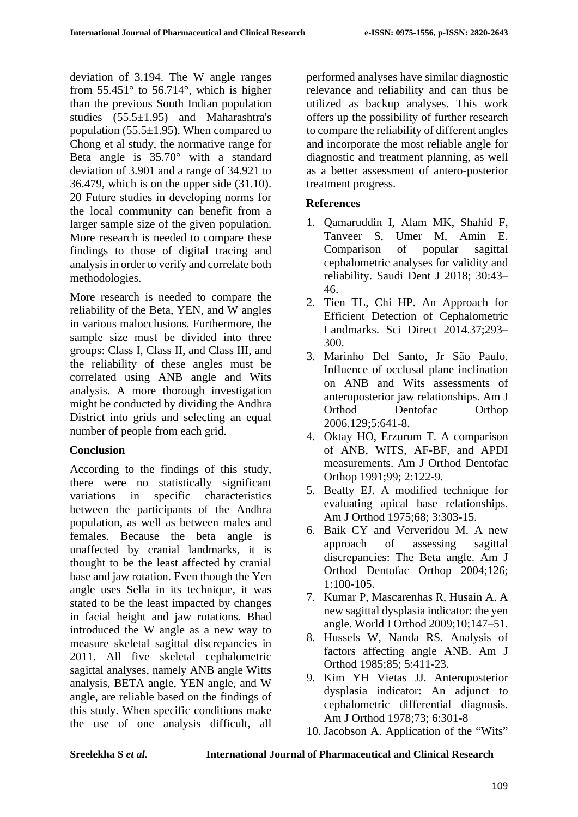deviation of 3.194. The W angle ranges from  $55.451^\circ$  to  $56.714^\circ$ , which is higher than the previous South Indian population studies (55.5±1.95) and Maharashtra's population  $(55.5\pm1.95)$ . When compared to Chong et al study, the normative range for Beta angle is 35.70° with a standard deviation of 3.901 and a range of 34.921 to 36.479, which is on the upper side (31.10). 20 Future studies in developing norms for the local community can benefit from a larger sample size of the given population. More research is needed to compare these findings to those of digital tracing and analysis in order to verify and correlate both methodologies.

More research is needed to compare the reliability of the Beta, YEN, and W angles in various malocclusions. Furthermore, the sample size must be divided into three groups: Class I, Class II, and Class III, and the reliability of these angles must be correlated using ANB angle and Wits analysis. A more thorough investigation might be conducted by dividing the Andhra District into grids and selecting an equal number of people from each grid.

#### **Conclusion**

According to the findings of this study, there were no statistically significant variations in specific characteristics between the participants of the Andhra population, as well as between males and females. Because the beta angle is unaffected by cranial landmarks, it is thought to be the least affected by cranial base and jaw rotation. Even though the Yen angle uses Sella in its technique, it was stated to be the least impacted by changes in facial height and jaw rotations. Bhad introduced the W angle as a new way to measure skeletal sagittal discrepancies in 2011. All five skeletal cephalometric sagittal analyses, namely ANB angle Witts analysis, BETA angle, YEN angle, and W angle, are reliable based on the findings of this study. When specific conditions make the use of one analysis difficult, all

performed analyses have similar diagnostic relevance and reliability and can thus be utilized as backup analyses. This work offers up the possibility of further research to compare the reliability of different angles and incorporate the most reliable angle for diagnostic and treatment planning, as well as a better assessment of antero-posterior treatment progress.

## **References**

- 1. Qamaruddin I, Alam MK, Shahid F, Tanveer S, Umer M, Amin E. Comparison of popular sagittal cephalometric analyses for validity and reliability. Saudi Dent J 2018; 30:43– 46.
- 2. Tien TL, Chi HP. An Approach for Efficient Detection of Cephalometric Landmarks. Sci Direct 2014.37;293– 300.
- 3. Marinho Del Santo, Jr São Paulo. Influence of occlusal plane inclination on ANB and Wits assessments of anteroposterior jaw relationships. Am J Orthod Dentofac Orthop 2006.129;5:641-8.
- 4. Oktay HO, Erzurum T. A comparison of ANB, WITS, AF-BF, and APDI measurements. Am J Orthod Dentofac Orthop 1991;99; 2:122-9.
- 5. Beatty EJ. A modified technique for evaluating apical base relationships. Am J Orthod 1975;68; 3:303-15.
- 6. Baik CY and Ververidou M. A new approach of assessing sagittal discrepancies: The Beta angle. Am J Orthod Dentofac Orthop 2004;126; 1:100-105.
- 7. Kumar P, Mascarenhas R, Husain A. A new sagittal dysplasia indicator: the yen angle. World J Orthod 2009;10;147–51.
- 8. Hussels W, Nanda RS. Analysis of factors affecting angle ANB. Am J Orthod 1985;85; 5:411-23.
- 9. Kim YH Vietas JJ. Anteroposterior dysplasia indicator: An adjunct to cephalometric differential diagnosis. Am J Orthod 1978;73; 6:301-8
- 10. Jacobson A. Application of the "Wits"